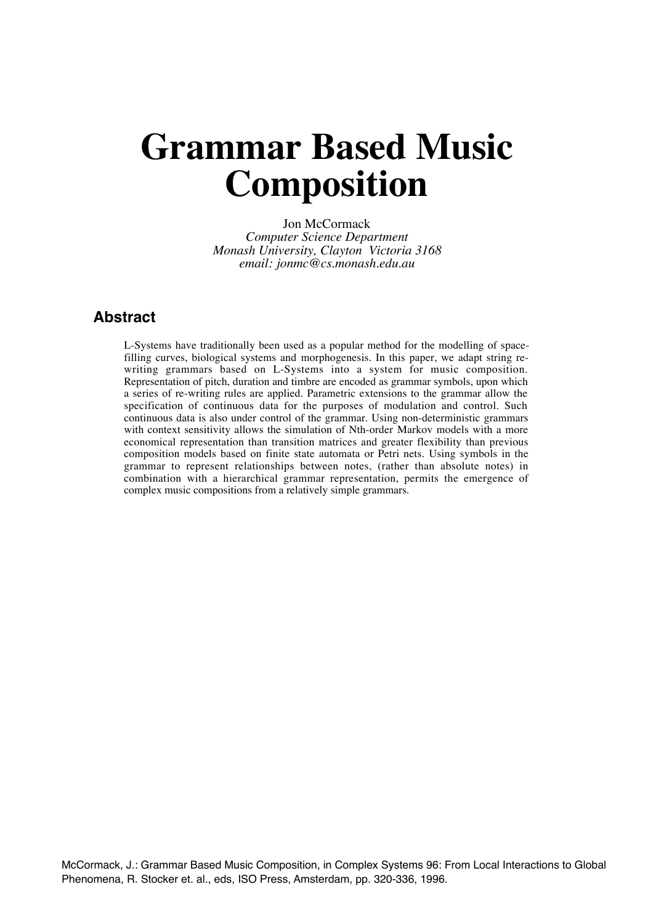# **Grammar Based Music Composition**

Jon McCormack *Computer Science Department Monash University, Clayton Victoria 3168 email: jonmc@cs.monash.edu.au*

# **Abstract**

L-Systems have traditionally been used as a popular method for the modelling of spacefilling curves, biological systems and morphogenesis. In this paper, we adapt string rewriting grammars based on L-Systems into a system for music composition. Representation of pitch, duration and timbre are encoded as grammar symbols, upon which a series of re-writing rules are applied. Parametric extensions to the grammar allow the specification of continuous data for the purposes of modulation and control. Such continuous data is also under control of the grammar. Using non-deterministic grammars with context sensitivity allows the simulation of Nth-order Markov models with a more economical representation than transition matrices and greater flexibility than previous composition models based on finite state automata or Petri nets. Using symbols in the grammar to represent relationships between notes, (rather than absolute notes) in combination with a hierarchical grammar representation, permits the emergence of complex music compositions from a relatively simple grammars.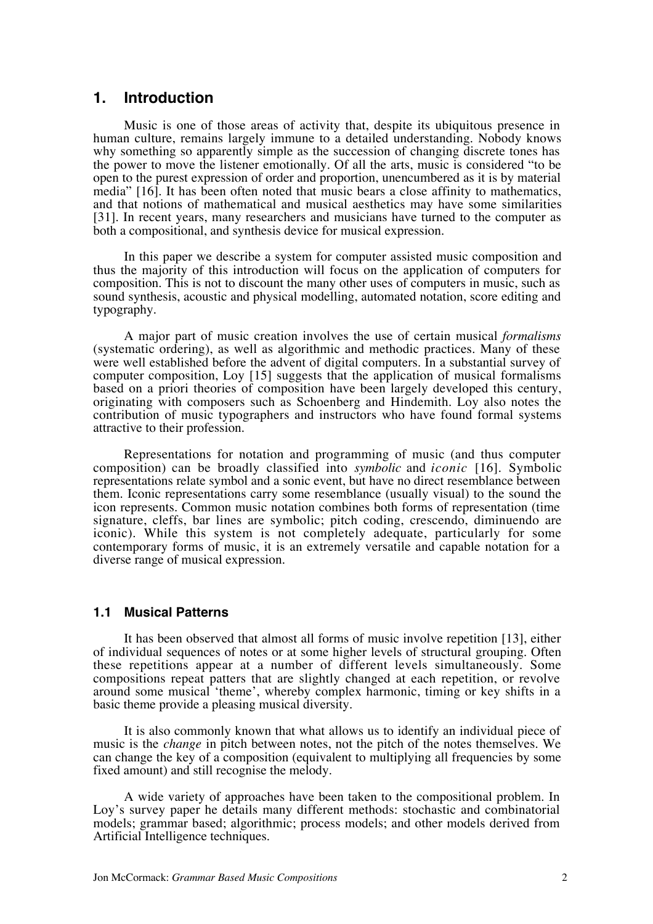# **1. Introduction**

Music is one of those areas of activity that, despite its ubiquitous presence in human culture, remains largely immune to a detailed understanding. Nobody knows why something so apparently simple as the succession of changing discrete tones has the power to move the listener emotionally. Of all the arts, music is considered "to be open to the purest expression of order and proportion, unencumbered as it is by material media" [16]. It has been often noted that music bears a close affinity to mathematics, and that notions of mathematical and musical aesthetics may have some similarities [31]. In recent years, many researchers and musicians have turned to the computer as both a compositional, and synthesis device for musical expression.

In this paper we describe a system for computer assisted music composition and thus the majority of this introduction will focus on the application of computers for composition. This is not to discount the many other uses of computers in music, such as sound synthesis, acoustic and physical modelling, automated notation, score editing and typography.

A major part of music creation involves the use of certain musical *formalisms* (systematic ordering), as well as algorithmic and methodic practices. Many of these were well established before the advent of digital computers. In a substantial survey of computer composition, Loy [15] suggests that the application of musical formalisms based on a priori theories of composition have been largely developed this century, originating with composers such as Schoenberg and Hindemith. Loy also notes the contribution of music typographers and instructors who have found formal systems attractive to their profession.

Representations for notation and programming of music (and thus computer composition) can be broadly classified into *symbolic* and *iconic* [16]. Symbolic representations relate symbol and a sonic event, but have no direct resemblance between them. Iconic representations carry some resemblance (usually visual) to the sound the icon represents. Common music notation combines both forms of representation (time signature, cleffs, bar lines are symbolic; pitch coding, crescendo, diminuendo are iconic). While this system is not completely adequate, particularly for some contemporary forms of music, it is an extremely versatile and capable notation for a diverse range of musical expression.

## **1.1 Musical Patterns**

It has been observed that almost all forms of music involve repetition [13], either of individual sequences of notes or at some higher levels of structural grouping. Often these repetitions appear at a number of different levels simultaneously. Some compositions repeat patters that are slightly changed at each repetition, or revolve around some musical 'theme', whereby complex harmonic, timing or key shifts in a basic theme provide a pleasing musical diversity.

It is also commonly known that what allows us to identify an individual piece of music is the *change* in pitch between notes, not the pitch of the notes themselves. We can change the key of a composition (equivalent to multiplying all frequencies by some fixed amount) and still recognise the melody.

A wide variety of approaches have been taken to the compositional problem. In Loy's survey paper he details many different methods: stochastic and combinatorial models; grammar based; algorithmic; process models; and other models derived from Artificial Intelligence techniques.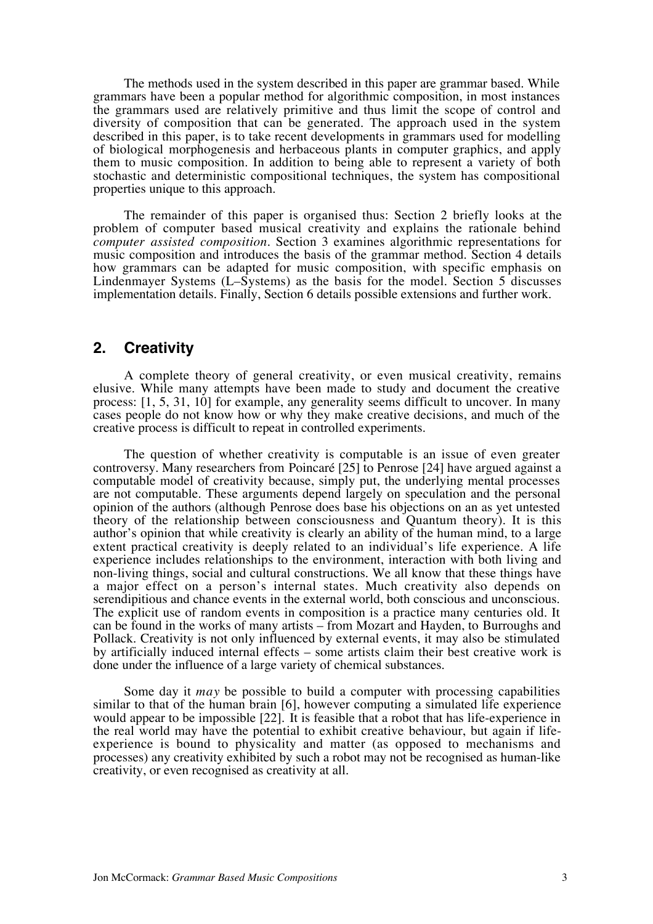The methods used in the system described in this paper are grammar based. While grammars have been a popular method for algorithmic composition, in most instances the grammars used are relatively primitive and thus limit the scope of control and diversity of composition that can be generated. The approach used in the system described in this paper, is to take recent developments in grammars used for modelling of biological morphogenesis and herbaceous plants in computer graphics, and apply them to music composition. In addition to being able to represent a variety of both stochastic and deterministic compositional techniques, the system has compositional properties unique to this approach.

The remainder of this paper is organised thus: Section 2 briefly looks at the problem of computer based musical creativity and explains the rationale behind *computer assisted composition*. Section 3 examines algorithmic representations for music composition and introduces the basis of the grammar method. Section 4 details how grammars can be adapted for music composition, with specific emphasis on Lindenmayer Systems (L–Systems) as the basis for the model. Section 5 discusses implementation details. Finally, Section 6 details possible extensions and further work.

# **2. Creativity**

A complete theory of general creativity, or even musical creativity, remains elusive. While many attempts have been made to study and document the creative process: [1, 5, 31, 10] for example, any generality seems difficult to uncover. In many cases people do not know how or why they make creative decisions, and much of the creative process is difficult to repeat in controlled experiments.

The question of whether creativity is computable is an issue of even greater controversy. Many researchers from Poincaré [25] to Penrose [24] have argued against a computable model of creativity because, simply put, the underlying mental processes are not computable. These arguments depend largely on speculation and the personal opinion of the authors (although Penrose does base his objections on an as yet untested theory of the relationship between consciousness and Quantum theory). It is this author's opinion that while creativity is clearly an ability of the human mind, to a large extent practical creativity is deeply related to an individual's life experience. A life experience includes relationships to the environment, interaction with both living and non-living things, social and cultural constructions. We all know that these things have a major effect on a person's internal states. Much creativity also depends on serendipitious and chance events in the external world, both conscious and unconscious. The explicit use of random events in composition is a practice many centuries old. It can be found in the works of many artists – from Mozart and Hayden, to Burroughs and Pollack. Creativity is not only influenced by external events, it may also be stimulated by artificially induced internal effects – some artists claim their best creative work is done under the influence of a large variety of chemical substances.

Some day it *may* be possible to build a computer with processing capabilities similar to that of the human brain [6], however computing a simulated life experience would appear to be impossible [22]. It is feasible that a robot that has life-experience in the real world may have the potential to exhibit creative behaviour, but again if lifeexperience is bound to physicality and matter (as opposed to mechanisms and processes) any creativity exhibited by such a robot may not be recognised as human-like creativity, or even recognised as creativity at all.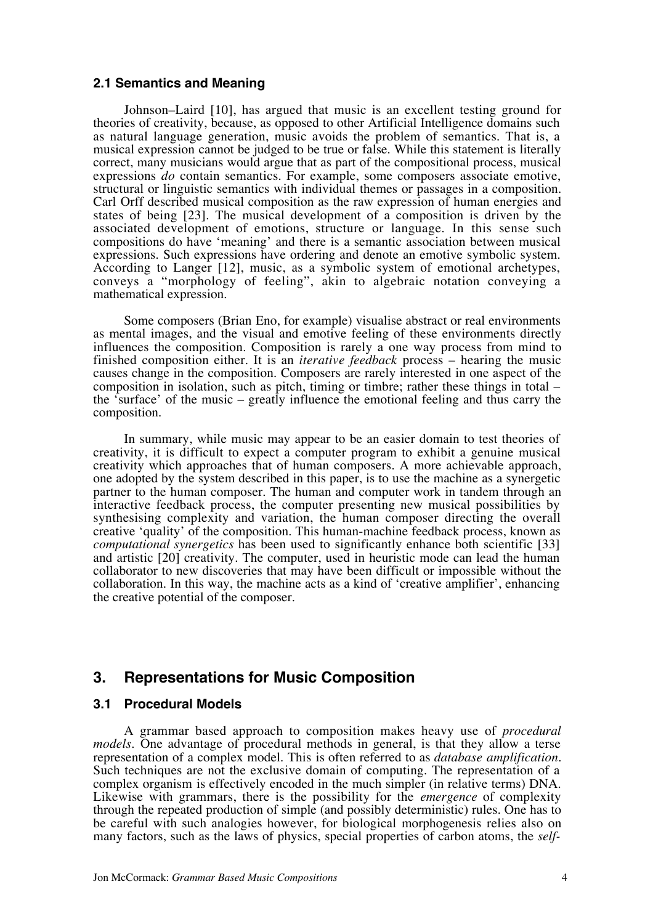## **2.1 Semantics and Meaning**

Johnson–Laird [10], has argued that music is an excellent testing ground for theories of creativity, because, as opposed to other Artificial Intelligence domains such as natural language generation, music avoids the problem of semantics. That is, a musical expression cannot be judged to be true or false. While this statement is literally correct, many musicians would argue that as part of the compositional process, musical expressions *do* contain semantics. For example, some composers associate emotive, structural or linguistic semantics with individual themes or passages in a composition. Carl Orff described musical composition as the raw expression of human energies and states of being [23]. The musical development of a composition is driven by the associated development of emotions, structure or language. In this sense such compositions do have 'meaning' and there is a semantic association between musical expressions. Such expressions have ordering and denote an emotive symbolic system. According to Langer [12], music, as a symbolic system of emotional archetypes, conveys a "morphology of feeling", akin to algebraic notation conveying a mathematical expression.

Some composers (Brian Eno, for example) visualise abstract or real environments as mental images, and the visual and emotive feeling of these environments directly influences the composition. Composition is rarely a one way process from mind to finished composition either. It is an *iterative feedback* process – hearing the music causes change in the composition. Composers are rarely interested in one aspect of the composition in isolation, such as pitch, timing or timbre; rather these things in total – the 'surface' of the music – greatly influence the emotional feeling and thus carry the composition.

In summary, while music may appear to be an easier domain to test theories of creativity, it is difficult to expect a computer program to exhibit a genuine musical creativity which approaches that of human composers. A more achievable approach, one adopted by the system described in this paper, is to use the machine as a synergetic partner to the human composer. The human and computer work in tandem through an interactive feedback process, the computer presenting new musical possibilities by synthesising complexity and variation, the human composer directing the overall creative 'quality' of the composition. This human-machine feedback process, known as *computational synergetics* has been used to significantly enhance both scientific [33] and artistic [20] creativity. The computer, used in heuristic mode can lead the human collaborator to new discoveries that may have been difficult or impossible without the collaboration. In this way, the machine acts as a kind of 'creative amplifier', enhancing the creative potential of the composer.

# **3. Representations for Music Composition**

## **3.1 Procedural Models**

A grammar based approach to composition makes heavy use of *procedural models.* One advantage of procedural methods in general, is that they allow a terse representation of a complex model. This is often referred to as *database amplification*. Such techniques are not the exclusive domain of computing. The representation of a complex organism is effectively encoded in the much simpler (in relative terms) DNA. Likewise with grammars, there is the possibility for the *emergence* of complexity through the repeated production of simple (and possibly deterministic) rules. One has to be careful with such analogies however, for biological morphogenesis relies also on many factors, such as the laws of physics, special properties of carbon atoms, the *self-*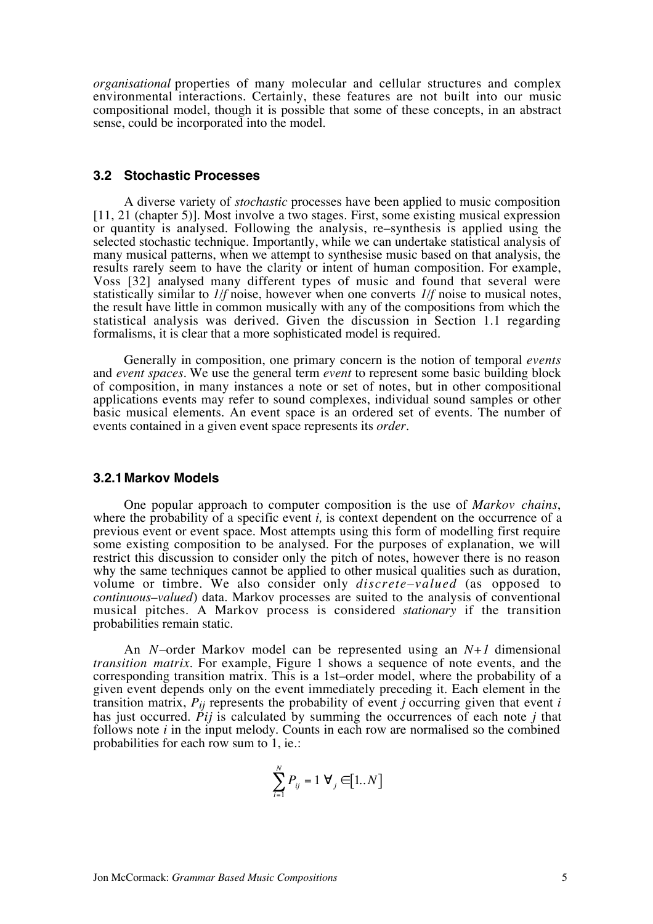*organisational* properties of many molecular and cellular structures and complex environmental interactions. Certainly, these features are not built into our music compositional model, though it is possible that some of these concepts, in an abstract sense, could be incorporated into the model.

## **3.2 Stochastic Processes**

A diverse variety of *stochastic* processes have been applied to music composition [11, 21 (chapter 5)]. Most involve a two stages. First, some existing musical expression or quantity is analysed. Following the analysis, re–synthesis is applied using the selected stochastic technique. Importantly, while we can undertake statistical analysis of many musical patterns, when we attempt to synthesise music based on that analysis, the results rarely seem to have the clarity or intent of human composition. For example, Voss [32] analysed many different types of music and found that several were statistically similar to *1/f* noise, however when one converts *1/f* noise to musical notes, the result have little in common musically with any of the compositions from which the statistical analysis was derived. Given the discussion in Section 1.1 regarding formalisms, it is clear that a more sophisticated model is required.

Generally in composition, one primary concern is the notion of temporal *events* and *event spaces.* We use the general term *event* to represent some basic building block of composition, in many instances a note or set of notes, but in other compositional applications events may refer to sound complexes, individual sound samples or other basic musical elements. An event space is an ordered set of events. The number of events contained in a given event space represents its *order*.

#### **3.2.1Markov Models**

One popular approach to computer composition is the use of *Markov chains*, where the probability of a specific event *i*, is context dependent on the occurrence of a previous event or event space. Most attempts using this form of modelling first require some existing composition to be analysed. For the purposes of explanation, we will restrict this discussion to consider only the pitch of notes, however there is no reason why the same techniques cannot be applied to other musical qualities such as duration, volume or timbre. We also consider only *discrete–valued* (as opposed to *continuous–valued*) data. Markov processes are suited to the analysis of conventional musical pitches. A Markov process is considered *stationary* if the transition probabilities remain static.

An *N*–order Markov model can be represented using an *N+1* dimensional *transition matrix*. For example, Figure 1 shows a sequence of note events, and the corresponding transition matrix. This is a 1st–order model, where the probability of a given event depends only on the event immediately preceding it. Each element in the transition matrix, *Pij* represents the probability of event *j* occurring given that event *i* has just occurred.  $\dot{P}i\dot{j}$  is calculated by summing the occurrences of each note  $\dot{j}$  that follows note *i* in the input melody*.* Counts in each row are normalised so the combined probabilities for each row sum to 1, ie.:

$$
\sum_{i=1}^{N} P_{ij} = 1 \; \forall j \in [1..N]
$$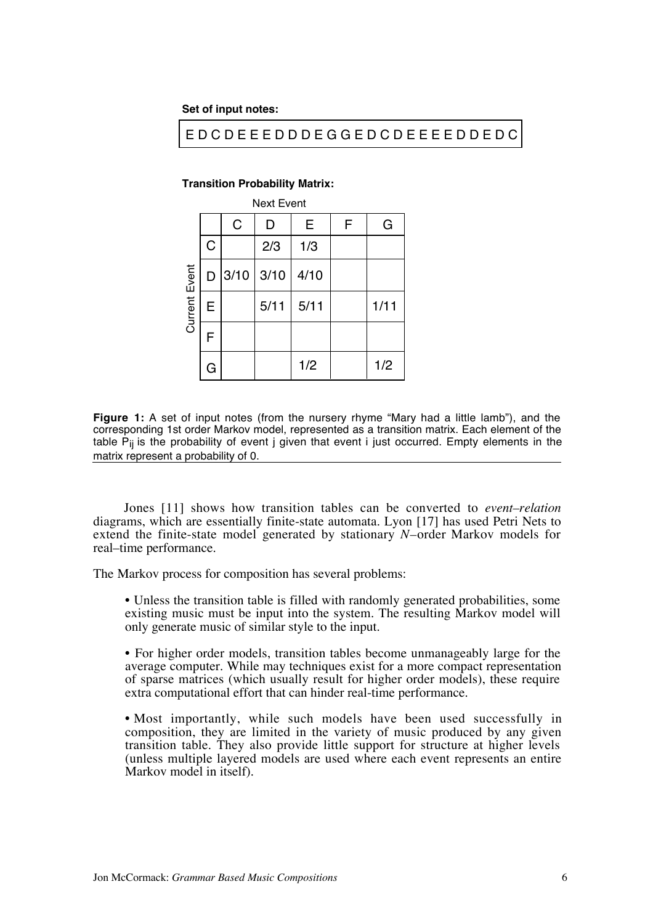#### **Set of input notes:**

# E D C D E E E D D D E G G E D C D E E E E D D E D C

#### **Transition Probability Matrix:**

|               | <b>Next Event</b> |      |      |      |   |      |  |  |
|---------------|-------------------|------|------|------|---|------|--|--|
| Current Event |                   | C    | D    | Е    | F | G    |  |  |
|               | $\overline{C}$    |      | 2/3  | 1/3  |   |      |  |  |
|               | D                 | 3/10 | 3/10 | 4/10 |   |      |  |  |
|               | E                 |      | 5/11 | 5/11 |   | 1/11 |  |  |
|               | F                 |      |      |      |   |      |  |  |
|               | G                 |      |      | 1/2  |   | 1/2  |  |  |

**Figure 1:** A set of input notes (from the nursery rhyme "Mary had a little lamb"), and the corresponding 1st order Markov model, represented as a transition matrix. Each element of the table  $\dot{P}_{ii}$  is the probability of event j given that event i just occurred. Empty elements in the matrix represent a probability of 0.

Jones [11] shows how transition tables can be converted to *event–relation* diagrams, which are essentially finite-state automata. Lyon [17] has used Petri Nets to extend the finite-state model generated by stationary *N–*order Markov models for real–time performance.

The Markov process for composition has several problems:

• Unless the transition table is filled with randomly generated probabilities, some existing music must be input into the system. The resulting Markov model will only generate music of similar style to the input.

• For higher order models, transition tables become unmanageably large for the average computer. While may techniques exist for a more compact representation of sparse matrices (which usually result for higher order models), these require extra computational effort that can hinder real-time performance.

• Most importantly, while such models have been used successfully in composition, they are limited in the variety of music produced by any given transition table. They also provide little support for structure at higher levels (unless multiple layered models are used where each event represents an entire Markov model in itself).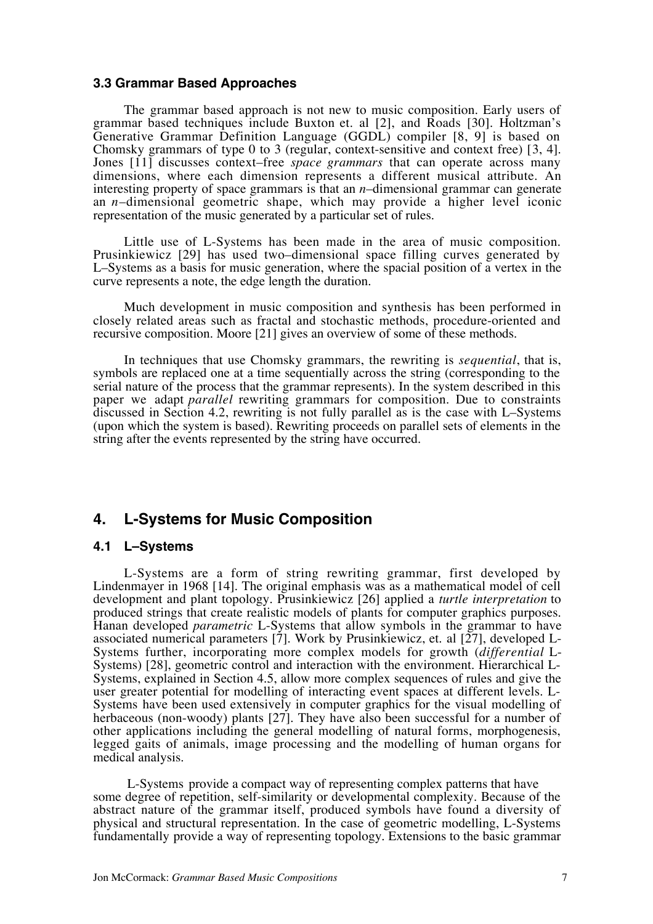#### **3.3 Grammar Based Approaches**

The grammar based approach is not new to music composition. Early users of grammar based techniques include Buxton et. al [2], and Roads [30]. Holtzman's Generative Grammar Definition Language (GGDL) compiler [8, 9] is based on Chomsky grammars of type 0 to 3 (regular, context-sensitive and context free) [3, 4]. Jones [11] discusses context–free *space grammars* that can operate across many dimensions, where each dimension represents a different musical attribute. An interesting property of space grammars is that an *n*–dimensional grammar can generate an *n*–dimensional geometric shape, which may provide a higher level iconic representation of the music generated by a particular set of rules.

Little use of L-Systems has been made in the area of music composition. Prusinkiewicz [29] has used two–dimensional space filling curves generated by L–Systems as a basis for music generation, where the spacial position of a vertex in the curve represents a note, the edge length the duration.

Much development in music composition and synthesis has been performed in closely related areas such as fractal and stochastic methods, procedure-oriented and recursive composition. Moore [21] gives an overview of some of these methods.

In techniques that use Chomsky grammars, the rewriting is *sequential*, that is, symbols are replaced one at a time sequentially across the string (corresponding to the serial nature of the process that the grammar represents). In the system described in this paper we adapt *parallel* rewriting grammars for composition. Due to constraints discussed in Section 4.2, rewriting is not fully parallel as is the case with L–Systems (upon which the system is based). Rewriting proceeds on parallel sets of elements in the string after the events represented by the string have occurred.

# **4. L-Systems for Music Composition**

## **4.1 L–Systems**

L-Systems are a form of string rewriting grammar, first developed by Lindenmayer in 1968 [14]. The original emphasis was as a mathematical model of cell development and plant topology. Prusinkiewicz [26] applied a *turtle interpretation* to produced strings that create realistic models of plants for computer graphics purposes. Hanan developed *parametric* L-Systems that allow symbols in the grammar to have associated numerical parameters [7]. Work by Prusinkiewicz, et. al [27], developed L-Systems further, incorporating more complex models for growth (*differential* L-Systems) [28], geometric control and interaction with the environment. Hierarchical L-Systems, explained in Section 4.5, allow more complex sequences of rules and give the user greater potential for modelling of interacting event spaces at different levels. L-Systems have been used extensively in computer graphics for the visual modelling of herbaceous (non-woody) plants [27]. They have also been successful for a number of other applications including the general modelling of natural forms, morphogenesis, legged gaits of animals, image processing and the modelling of human organs for medical analysis.

 L-Systems provide a compact way of representing complex patterns that have some degree of repetition, self-similarity or developmental complexity. Because of the abstract nature of the grammar itself, produced symbols have found a diversity of physical and structural representation. In the case of geometric modelling, L-Systems fundamentally provide a way of representing topology. Extensions to the basic grammar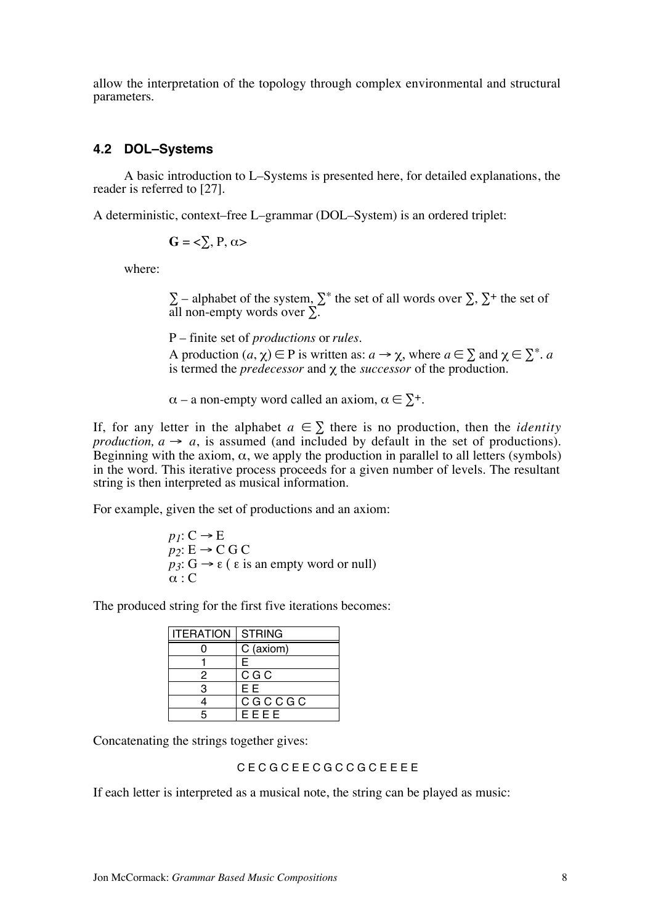allow the interpretation of the topology through complex environmental and structural parameters.

## **4.2 DOL–Systems**

A basic introduction to L–Systems is presented here, for detailed explanations, the reader is referred to [27].

A deterministic, context–free L–grammar (DOL–System) is an ordered triplet:

 $G = \langle \sum R, \gamma \rangle$ 

where:

 $\Sigma$  – alphabet of the system,  $\Sigma^*$  the set of all words over  $\Sigma$ ,  $\Sigma^+$  the set of all non-empty words over  $\Sigma$ .

P – finite set of *productions* or *rules*. A production  $(a, \chi) \in P$  is written as:  $a \to \chi$ , where  $a \in \Sigma$  and  $\chi \in \Sigma^*$ . *a* is termed the *predecessor* and  $\gamma$  the *successor* of the production.

 $\alpha$  – a non-empty word called an axiom,  $\alpha \in \Sigma^+$ .

If, for any letter in the alphabet  $a \in \Sigma$  there is no production, then the *identity production,*  $a \rightarrow a$ , is assumed (and included by default in the set of productions). Beginning with the axiom,  $\alpha$ , we apply the production in parallel to all letters (symbols) in the word. This iterative process proceeds for a given number of levels. The resultant string is then interpreted as musical information.

For example, given the set of productions and an axiom:

 $p_1: C \rightarrow E$  $p_2: E \to C$  G C  $p_3: G \to \varepsilon$  ( $\varepsilon$  is an empty word or null)  $\alpha$  : C

The produced string for the first five iterations becomes:

| <b>ITERATION</b> | <b>STRING</b> |
|------------------|---------------|
|                  | C (axiom)     |
|                  | F.            |
| 2                | <b>CGC</b>    |
| з                | F F           |
|                  | <b>CGCCGC</b> |
|                  | EFFF          |

Concatenating the strings together gives:

## C E C G C E E C G C C G C E E E E

If each letter is interpreted as a musical note, the string can be played as music: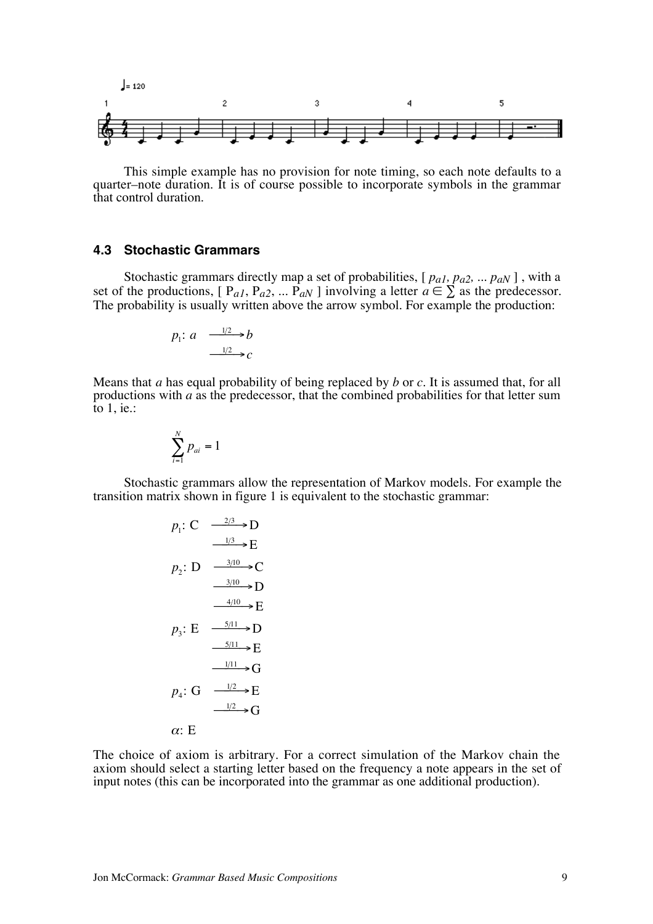

This simple example has no provision for note timing, so each note defaults to a quarter–note duration. It is of course possible to incorporate symbols in the grammar that control duration.

#### **4.3 Stochastic Grammars**

Stochastic grammars directly map a set of probabilities, [ *pa1, pa2, ... paN* ] , with a set of the productions,  $[P_{a1}, P_{a2}, \dots P_{aN}]$  involving a letter  $a \in \sum$  as the predecessor. The probability is usually written above the arrow symbol. For example the production:

$$
p_1: a \xrightarrow{\quad 1/2 \quad \rightarrow \quad b \quad}
$$

Means that *a* has equal probability of being replaced by *b* or *c*. It is assumed that, for all productions with *a* as the predecessor, that the combined probabilities for that letter sum to 1, ie.:

$$
\sum_{i=1}^N p_{ai} = 1
$$

Stochastic grammars allow the representation of Markov models. For example the transition matrix shown in figure 1 is equivalent to the stochastic grammar:

$$
p_1: C \xrightarrow{\frac{2/3}{3}} D
$$
\n
$$
p_2: D \xrightarrow{\frac{3/10}{3}} E
$$
\n
$$
p_3: E \xrightarrow{\frac{3/10}{3}} D
$$
\n
$$
p_3: E \xrightarrow{\frac{5/11}{3}} D
$$
\n
$$
p_4: G \xrightarrow{\frac{5/11}{3}} E
$$
\n
$$
p_4: G \xrightarrow{\frac{1/2}{3}} E
$$
\n
$$
\alpha: E
$$

The choice of axiom is arbitrary. For a correct simulation of the Markov chain the axiom should select a starting letter based on the frequency a note appears in the set of input notes (this can be incorporated into the grammar as one additional production).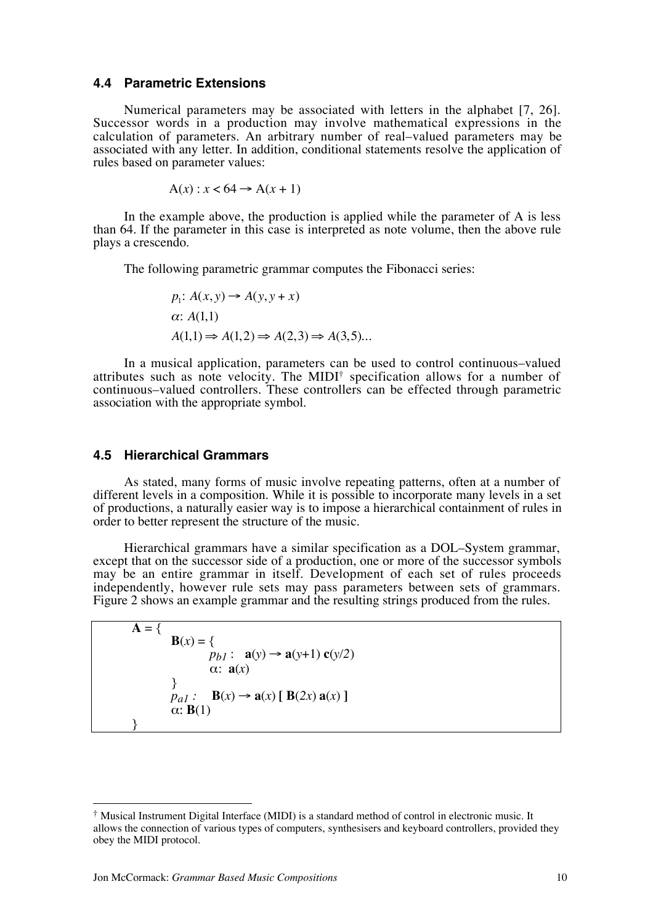#### **4.4 Parametric Extensions**

Numerical parameters may be associated with letters in the alphabet [7, 26]. Successor words in a production may involve mathematical expressions in the calculation of parameters. An arbitrary number of real–valued parameters may be associated with any letter. In addition, conditional statements resolve the application of rules based on parameter values:

$$
A(x): x < 64 \to A(x+1)
$$

In the example above, the production is applied while the parameter of A is less than 64. If the parameter in this case is interpreted as note volume, then the above rule plays a crescendo.

The following parametric grammar computes the Fibonacci series:

$$
p_1: A(x, y) \to A(y, y + x)
$$
  
\n
$$
\alpha: A(1,1)
$$
  
\n
$$
A(1,1) \Rightarrow A(1,2) \Rightarrow A(2,3) \Rightarrow A(3,5)...
$$

In a musical application, parameters can be used to control continuous–valued attributes such as note velocity. The MIDI† specification allows for a number of continuous–valued controllers. These controllers can be effected through parametric association with the appropriate symbol.

#### **4.5 Hierarchical Grammars**

As stated, many forms of music involve repeating patterns, often at a number of different levels in a composition. While it is possible to incorporate many levels in a set of productions, a naturally easier way is to impose a hierarchical containment of rules in order to better represent the structure of the music.

Hierarchical grammars have a similar specification as a DOL–System grammar, except that on the successor side of a production, one or more of the successor symbols may be an entire grammar in itself. Development of each set of rules proceeds independently, however rule sets may pass parameters between sets of grammars. Figure 2 shows an example grammar and the resulting strings produced from the rules.

$$
\mathbf{A} = \left\{ \begin{array}{c} \mathbf{B}(x) = \left\{ \begin{array}{c} p_{b1} : \mathbf{a}(y) \rightarrow \mathbf{a}(y+1) \mathbf{c}(y/2) \\ \alpha : \mathbf{a}(x) \end{array} \right. \\ \left. \begin{array}{c} p_{a1} : \mathbf{B}(x) \rightarrow \mathbf{a}(x) \left[ \mathbf{B}(2x) \mathbf{a}(x) \right] \\ \alpha : \mathbf{B}(1) \end{array} \right\} \end{array}
$$

 $\overline{a}$ 

<sup>†</sup> Musical Instrument Digital Interface (MIDI) is a standard method of control in electronic music. It allows the connection of various types of computers, synthesisers and keyboard controllers, provided they obey the MIDI protocol.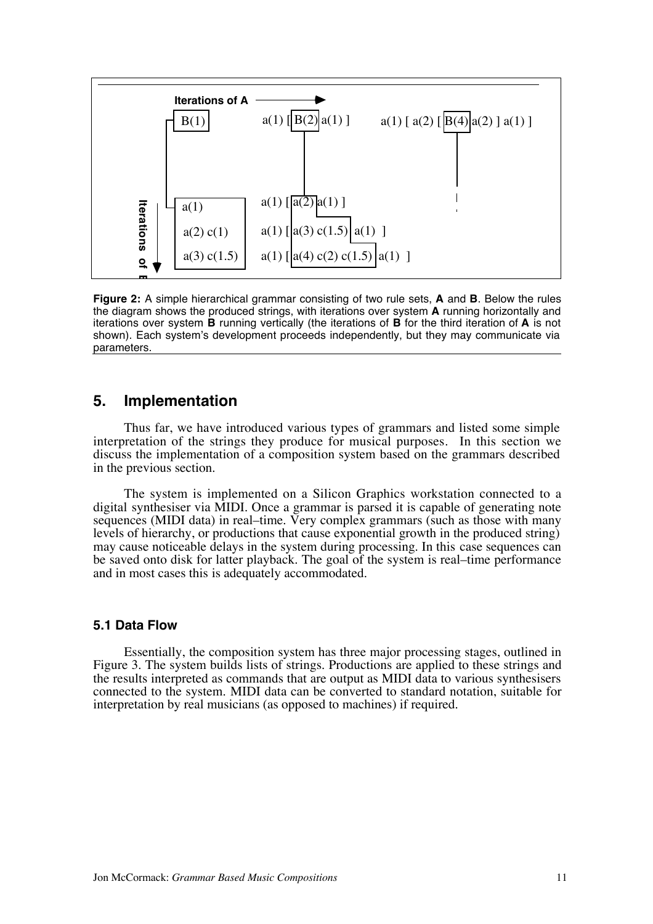

**Figure 2:** A simple hierarchical grammar consisting of two rule sets, **A** and **B**. Below the rules the diagram shows the produced strings, with iterations over system **A** running horizontally and iterations over system **B** running vertically (the iterations of **B** for the third iteration of **A** is not shown). Each system's development proceeds independently, but they may communicate via parameters.

# **5. Implementation**

Thus far, we have introduced various types of grammars and listed some simple interpretation of the strings they produce for musical purposes. In this section we discuss the implementation of a composition system based on the grammars described in the previous section.

The system is implemented on a Silicon Graphics workstation connected to a digital synthesiser via MIDI. Once a grammar is parsed it is capable of generating note sequences (MIDI data) in real–time. Very complex grammars (such as those with many levels of hierarchy, or productions that cause exponential growth in the produced string) may cause noticeable delays in the system during processing. In this case sequences can be saved onto disk for latter playback. The goal of the system is real–time performance and in most cases this is adequately accommodated.

## **5.1 Data Flow**

Essentially, the composition system has three major processing stages, outlined in Figure 3. The system builds lists of strings. Productions are applied to these strings and the results interpreted as commands that are output as MIDI data to various synthesisers connected to the system. MIDI data can be converted to standard notation, suitable for interpretation by real musicians (as opposed to machines) if required.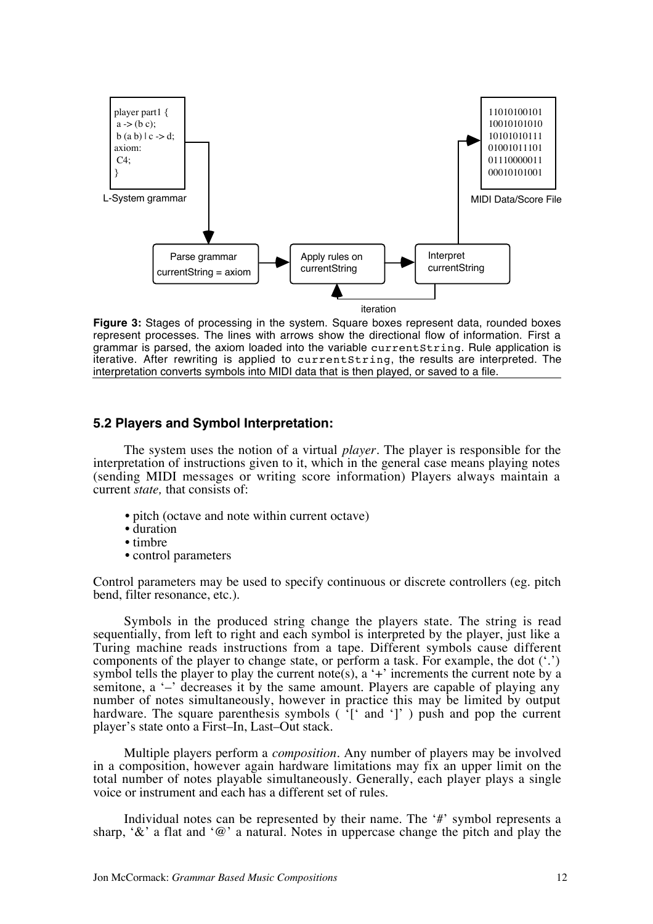

**Figure 3:** Stages of processing in the system. Square boxes represent data, rounded boxes represent processes. The lines with arrows show the directional flow of information. First a grammar is parsed, the axiom loaded into the variable currentString. Rule application is iterative. After rewriting is applied to currentString, the results are interpreted. The interpretation converts symbols into MIDI data that is then played, or saved to a file.

## **5.2 Players and Symbol Interpretation:**

The system uses the notion of a virtual *player*. The player is responsible for the interpretation of instructions given to it, which in the general case means playing notes (sending MIDI messages or writing score information) Players always maintain a current *state,* that consists of:

- pitch (octave and note within current octave)
- duration
- timbre
- control parameters

Control parameters may be used to specify continuous or discrete controllers (eg. pitch bend, filter resonance, etc.).

Symbols in the produced string change the players state. The string is read sequentially, from left to right and each symbol is interpreted by the player, just like a Turing machine reads instructions from a tape. Different symbols cause different components of the player to change state, or perform a task. For example, the dot ('.') symbol tells the player to play the current note(s), a '+' increments the current note by a semitone, a '–' decreases it by the same amount. Players are capable of playing any number of notes simultaneously, however in practice this may be limited by output hardware. The square parenthesis symbols  $(\cdot | \cdot)$  and  $\cdot | \cdot)$  push and pop the current player's state onto a First–In, Last–Out stack.

Multiple players perform a *composition*. Any number of players may be involved in a composition, however again hardware limitations may fix an upper limit on the total number of notes playable simultaneously. Generally, each player plays a single voice or instrument and each has a different set of rules.

Individual notes can be represented by their name. The '#' symbol represents a sharp,  $\&i>$  a flat and  $\&i>$  a natural. Notes in uppercase change the pitch and play the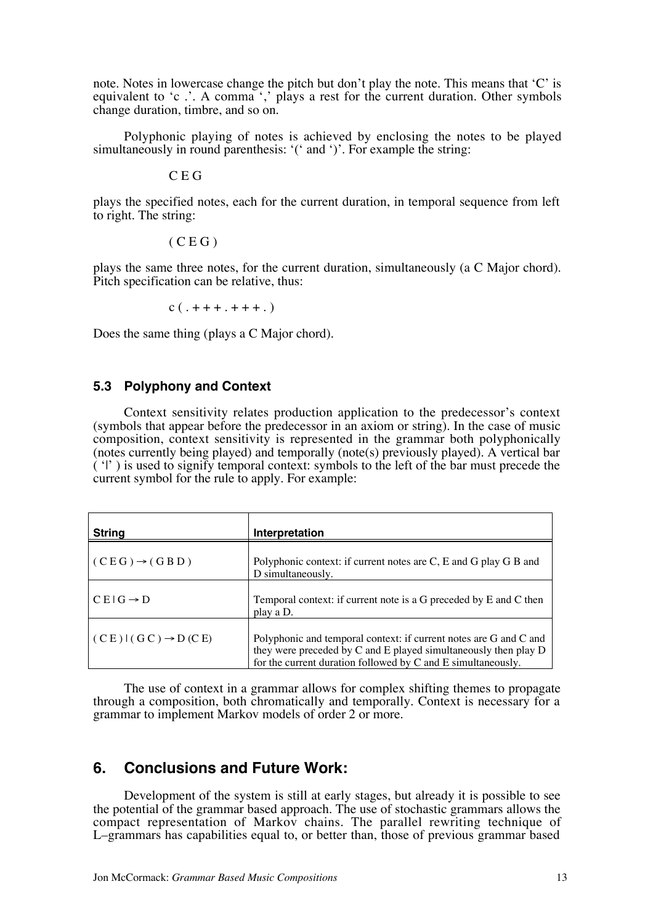note. Notes in lowercase change the pitch but don't play the note. This means that 'C' is equivalent to 'c .'. A comma ',' plays a rest for the current duration. Other symbols change duration, timbre, and so on.

Polyphonic playing of notes is achieved by enclosing the notes to be played simultaneously in round parenthesis: '(' and ')'. For example the string:

#### C E G

plays the specified notes, each for the current duration, in temporal sequence from left to right. The string:

 $($  C E G  $)$ 

plays the same three notes, for the current duration, simultaneously (a C Major chord). Pitch specification can be relative, thus:

$$
c(. + + + . + + + .)
$$

Does the same thing (plays a C Major chord).

## **5.3 Polyphony and Context**

Context sensitivity relates production application to the predecessor's context (symbols that appear before the predecessor in an axiom or string). In the case of music composition, context sensitivity is represented in the grammar both polyphonically (notes currently being played) and temporally (note(s) previously played). A vertical bar ( '|' ) is used to signify temporal context: symbols to the left of the bar must precede the current symbol for the rule to apply. For example:

| <b>String</b>                         | Interpretation                                                                                                                                                                                       |
|---------------------------------------|------------------------------------------------------------------------------------------------------------------------------------------------------------------------------------------------------|
| $(CEG) \rightarrow (GBD)$             | Polyphonic context: if current notes are $C$ , $E$ and $G$ play $G$ $B$ and<br>D simultaneously.                                                                                                     |
| $C E   G \rightarrow D$               | Temporal context: if current note is a G preceded by E and C then<br>play a D.                                                                                                                       |
| $(C E)$ $(C G C) \rightarrow D (C E)$ | Polyphonic and temporal context: if current notes are G and C and<br>they were preceded by C and E played simultaneously then play D<br>for the current duration followed by C and E simultaneously. |

The use of context in a grammar allows for complex shifting themes to propagate through a composition, both chromatically and temporally. Context is necessary for a grammar to implement Markov models of order 2 or more.

# **6. Conclusions and Future Work:**

Development of the system is still at early stages, but already it is possible to see the potential of the grammar based approach. The use of stochastic grammars allows the compact representation of Markov chains. The parallel rewriting technique of L–grammars has capabilities equal to, or better than, those of previous grammar based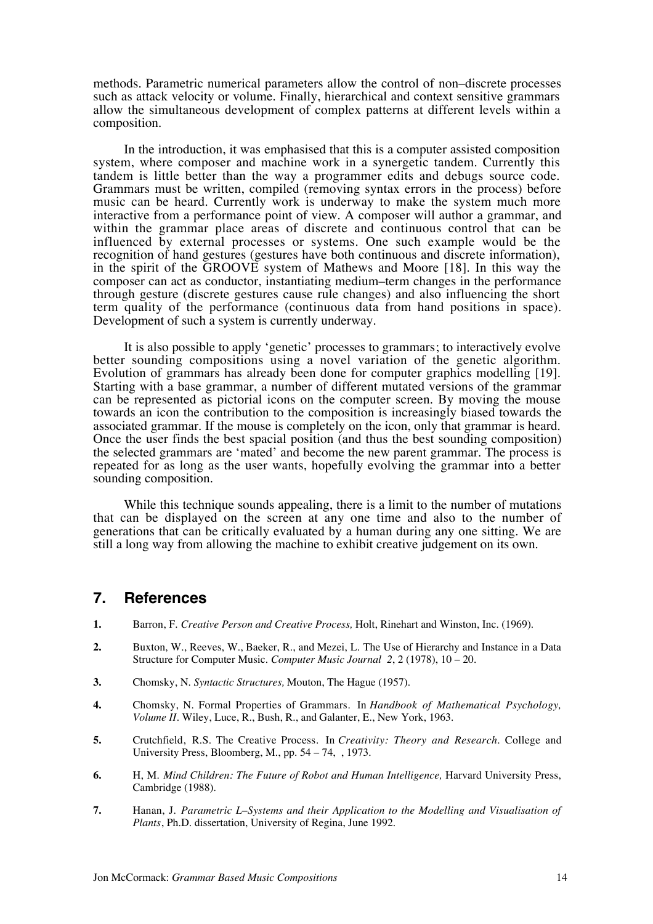methods. Parametric numerical parameters allow the control of non–discrete processes such as attack velocity or volume. Finally, hierarchical and context sensitive grammars allow the simultaneous development of complex patterns at different levels within a composition.

In the introduction, it was emphasised that this is a computer assisted composition system, where composer and machine work in a synergetic tandem. Currently this tandem is little better than the way a programmer edits and debugs source code. Grammars must be written, compiled (removing syntax errors in the process) before music can be heard. Currently work is underway to make the system much more interactive from a performance point of view. A composer will author a grammar, and within the grammar place areas of discrete and continuous control that can be influenced by external processes or systems. One such example would be the recognition of hand gestures (gestures have both continuous and discrete information), in the spirit of the GROOVE system of Mathews and Moore [18]. In this way the composer can act as conductor, instantiating medium–term changes in the performance through gesture (discrete gestures cause rule changes) and also influencing the short term quality of the performance (continuous data from hand positions in space). Development of such a system is currently underway.

It is also possible to apply 'genetic' processes to grammars; to interactively evolve better sounding compositions using a novel variation of the genetic algorithm. Evolution of grammars has already been done for computer graphics modelling [19]. Starting with a base grammar, a number of different mutated versions of the grammar can be represented as pictorial icons on the computer screen. By moving the mouse towards an icon the contribution to the composition is increasingly biased towards the associated grammar. If the mouse is completely on the icon, only that grammar is heard. Once the user finds the best spacial position (and thus the best sounding composition) the selected grammars are 'mated' and become the new parent grammar. The process is repeated for as long as the user wants, hopefully evolving the grammar into a better sounding composition.

While this technique sounds appealing, there is a limit to the number of mutations that can be displayed on the screen at any one time and also to the number of generations that can be critically evaluated by a human during any one sitting. We are still a long way from allowing the machine to exhibit creative judgement on its own.

# **7. References**

- **1.** Barron, F. *Creative Person and Creative Process,* Holt, Rinehart and Winston, Inc. (1969).
- **2.** Buxton, W., Reeves, W., Baeker, R., and Mezei, L. The Use of Hierarchy and Instance in a Data Structure for Computer Music. *Computer Music Journal 2*, 2 (1978), 10 – 20.
- **3.** Chomsky, N. *Syntactic Structures,* Mouton, The Hague (1957).
- **4.** Chomsky, N. Formal Properties of Grammars. In *Handbook of Mathematical Psychology, Volume II*. Wiley, Luce, R., Bush, R., and Galanter, E., New York, 1963.
- **5.** Crutchfield, R.S. The Creative Process. In *Creativity: Theory and Research*. College and University Press, Bloomberg, M., pp. 54 – 74, , 1973.
- **6.** H, M. *Mind Children: The Future of Robot and Human Intelligence,* Harvard University Press, Cambridge (1988).
- **7.** Hanan, J. *Parametric L–Systems and their Application to the Modelling and Visualisation of Plants*, Ph.D. dissertation, University of Regina, June 1992.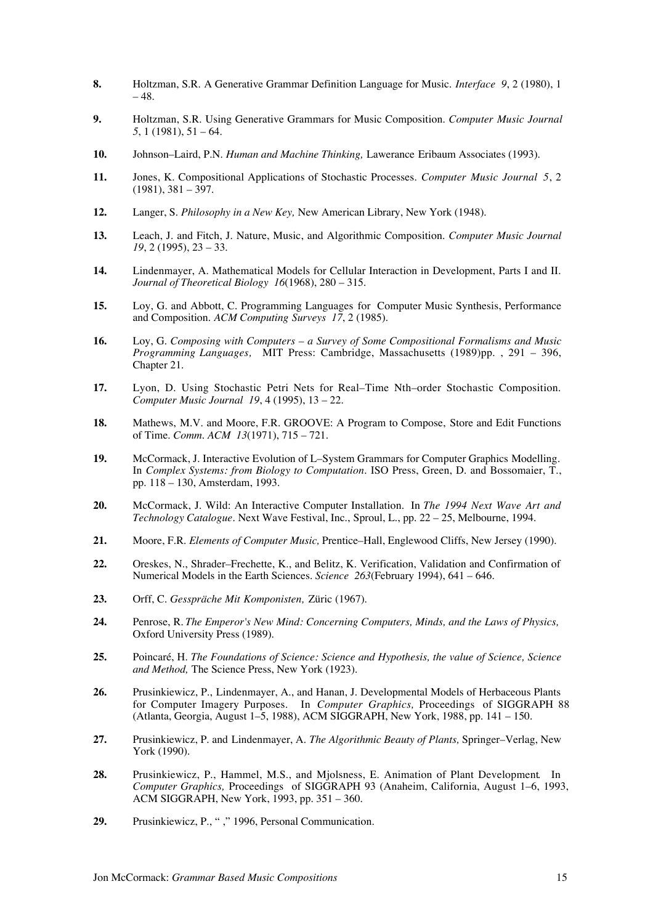- **8.** Holtzman, S.R. A Generative Grammar Definition Language for Music. *Interface 9*, 2 (1980), 1  $-48.$
- **9.** Holtzman, S.R. Using Generative Grammars for Music Composition. *Computer Music Journal 5*, 1 (1981), 51 – 64.
- **10.** Johnson–Laird, P.N. *Human and Machine Thinking,* Lawerance Eribaum Associates (1993).
- **11.** Jones, K. Compositional Applications of Stochastic Processes. *Computer Music Journal 5*, 2  $(1981), 381 - 397.$
- **12.** Langer, S. *Philosophy in a New Key,* New American Library, New York (1948).
- **13.** Leach, J. and Fitch, J. Nature, Music, and Algorithmic Composition. *Computer Music Journal 19*, 2 (1995), 23 – 33.
- **14.** Lindenmayer, A. Mathematical Models for Cellular Interaction in Development, Parts I and II. *Journal of Theoretical Biology 16*(1968), 280 – 315.
- **15.** Loy, G. and Abbott, C. Programming Languages for Computer Music Synthesis, Performance and Composition. *ACM Computing Surveys 17*, 2 (1985).
- **16.** Loy, G. *Composing with Computers a Survey of Some Compositional Formalisms and Music Programming Languages,* MIT Press: Cambridge, Massachusetts (1989)pp. , 291 – 396, Chapter 21.
- **17.** Lyon, D. Using Stochastic Petri Nets for Real–Time Nth–order Stochastic Composition. *Computer Music Journal 19*, 4 (1995), 13 – 22.
- **18.** Mathews, M.V. and Moore, F.R. GROOVE: A Program to Compose, Store and Edit Functions of Time. *Comm. ACM 13*(1971), 715 – 721.
- **19.** McCormack, J. Interactive Evolution of L–System Grammars for Computer Graphics Modelling. In *Complex Systems: from Biology to Computation*. ISO Press, Green, D. and Bossomaier, T., pp. 118 – 130, Amsterdam, 1993.
- **20.** McCormack, J. Wild: An Interactive Computer Installation. In *The 1994 Next Wave Art and Technology Catalogue*. Next Wave Festival, Inc., Sproul, L., pp. 22 – 25, Melbourne, 1994.
- **21.** Moore, F.R. *Elements of Computer Music,* Prentice–Hall, Englewood Cliffs, New Jersey (1990).
- **22.** Oreskes, N., Shrader–Frechette, K., and Belitz, K. Verification, Validation and Confirmation of Numerical Models in the Earth Sciences. *Science 263*(February 1994), 641 – 646.
- **23.** Orff, C. *Gesspräche Mit Komponisten,* Züric (1967).
- **24.** Penrose, R. *The Emperor's New Mind: Concerning Computers, Minds, and the Laws of Physics,* Oxford University Press (1989).
- **25.** Poincaré, H. *The Foundations of Science: Science and Hypothesis, the value of Science, Science and Method,* The Science Press, New York (1923).
- **26.** Prusinkiewicz, P., Lindenmayer, A., and Hanan, J. Developmental Models of Herbaceous Plants for Computer Imagery Purposes. In *Computer Graphics*, Proceedings of SIGGRAPH 88 (Atlanta, Georgia, August 1–5, 1988), ACM SIGGRAPH, New York, 1988, pp. 141 – 150.
- **27.** Prusinkiewicz, P. and Lindenmayer, A. *The Algorithmic Beauty of Plants,* Springer–Verlag, New York (1990).
- **28.** Prusinkiewicz, P., Hammel, M.S., and Mjolsness, E. Animation of Plant Development. In *Computer Graphics, Proceedings* of SIGGRAPH 93 (Anaheim, California, August 1–6, 1993, ACM SIGGRAPH, New York, 1993, pp. 351 – 360.
- **29.** Prusinkiewicz, P., " ," 1996, Personal Communication.